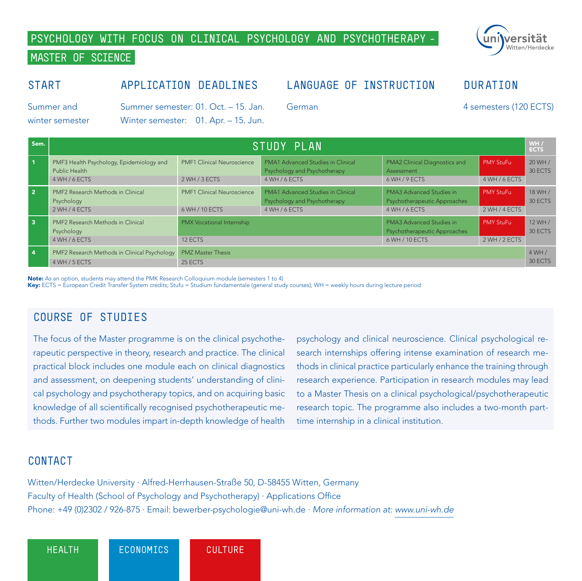## **PSYCHOLOGY WITH FOCUS ON CLINICAL PSYCHOLOGY AND PSYCHOTHERAPY -**

## **MASTER OF SCIENCE**

### **START**

## **APPLICATION DEADLINES**

## **LANGUAGE OF INSTRUCTION**

Summer and winter semester

Summer semester: 01. Oct. – 15. Jan. Winter semester: 01. Apr. – 15. Jun.

Sem. **Sem. STUDY PLAN** 

German

4 semesters (120 ECTS)

**DURATION**

WH /<br>ECTS

| $\overline{1}$          | PMF3 Health Psychology, Epidemiology and<br>Public Health<br>4 WH / 6 ECTS | <b>PMF1 Clinical Neuroscience</b><br>2 WH / 3 ECTS  | PMA1 Advanced Studies in Clinical<br>Psychology and Psychotherapy<br>4 WH / 6 FCTS | PMA2 Clinical Diagnostics and<br>Assessment<br>6 WH / 9 ECTS               | PMY StuFu<br>4 WH / 6 ECTS        | 20 WH /<br>30 ECTS |
|-------------------------|----------------------------------------------------------------------------|-----------------------------------------------------|------------------------------------------------------------------------------------|----------------------------------------------------------------------------|-----------------------------------|--------------------|
| $\overline{2}$          | PMF2 Research Methods in Clinical<br>Psychology<br>2 WH / 4 ECTS           | <b>PMF1 Clinical Neuroscience</b><br>6 WH / 10 ECTS | PMA1 Advanced Studies in Clinical<br>Psychology and Psychotherapy<br>4 WH / 6 ECTS | PMA3 Advanced Studies in<br>Psychotherapeutic Approaches<br>4 WH / 6 ECTS  | <b>PMY StuFu</b><br>2 WH / 4 ECTS | 18 WH /<br>30 ECTS |
| $\overline{\mathbf{3}}$ | PMF2 Research Methods in Clinical<br>Psychology<br>4 WH / 6 ECTS           | PMX Vocational Internship<br>12 FCTS                |                                                                                    | PMA3 Advanced Studies in<br>Psychotherapeutic Approaches<br>6 WH / 10 ECTS | <b>PMY StuFu</b><br>2 WH / 2 ECTS | 12 WH /<br>30 ECTS |
| $\overline{4}$          | PMF2 Research Methods in Clinical Psychology                               | <b>PMZ Master Thesis</b>                            |                                                                                    |                                                                            |                                   | 4WH/               |

4 WH / 5 ECTS 30 ECTS 30 ECTS 30 ECTS 30 ECTS 25 ECTS 25 ECTS 25 ECTS 25 ECTS 25 ECTS 25 ECTS 25 ECTS 25 ECTS

Note: As an option, students may attend the PMK Research Colloquium module (semesters 1 to 4)

Key: ECTS = European Credit Transfer System credits; Stufu = Studium fundamentale (general study courses); WH = weekly hours during lecture period

## **COURSE OF STUDIES**

The focus of the Master programme is on the clinical psychotherapeutic perspective in theory, research and practice. The clinical practical block includes one module each on clinical diagnostics and assessment, on deepening students' understanding of clinical psychology and psychotherapy topics, and on acquiring basic knowledge of all scientifically recognised psychotherapeutic methods. Further two modules impart in-depth knowledge of health

psychology and clinical neuroscience. Clinical psychological research internships offering intense examination of research methods in clinical practice particularly enhance the training through research experience. Participation in research modules may lead to a Master Thesis on a clinical psychological/psychotherapeutic research topic. The programme also includes a two-month parttime internship in a clinical institution.

#### **CONTACT**

Witten/Herdecke University ∙ Alfred-Herrhausen-Straße 50, D-58455 Witten, Germany Faculty of Health (School of Psychology and Psychotherapy) ∙ Applications Office Phone: +49 (0)2302 / 926-875 ∙ Email: bewerber-psychologie@uni-wh.de ∙ *More information at: www.uni-wh.de*